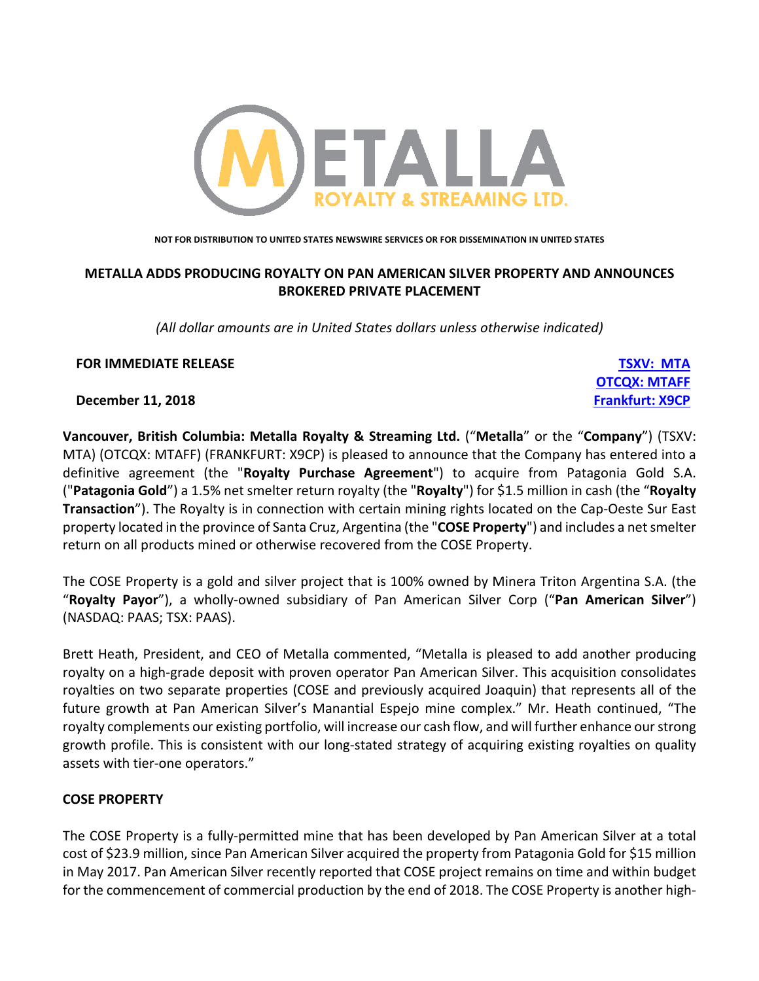

**NOT FOR DISTRIBUTION TO UNITED STATES NEWSWIRE SERVICES OR FOR DISSEMINATION IN UNITED STATES**

# **METALLA ADDS PRODUCING ROYALTY ON PAN AMERICAN SILVER PROPERTY AND ANNOUNCES BROKERED PRIVATE PLACEMENT**

*(All dollar amounts are in United States dollars unless otherwise indicated)*

**OTCQX: MTAFF**

## **FOR IMMEDIATE RELEASE TSXV: MTA**

**December 11, 2018 Frankfurt: X9CP**

**Vancouver, British Columbia: Metalla Royalty & Streaming Ltd.** ("**Metalla**" or the "**Company**") (TSXV: MTA) (OTCQX: MTAFF) (FRANKFURT: X9CP) is pleased to announce that the Company has entered into a definitive agreement (the "**Royalty Purchase Agreement**") to acquire from Patagonia Gold S.A. ("**Patagonia Gold**") a 1.5% net smelter return royalty (the "**Royalty**") for \$1.5 million in cash (the "**Royalty Transaction**"). The Royalty is in connection with certain mining rights located on the Cap-Oeste Sur East property located in the province of Santa Cruz, Argentina (the "**COSE Property**") and includes a net smelter return on all products mined or otherwise recovered from the COSE Property.

The COSE Property is a gold and silver project that is 100% owned by Minera Triton Argentina S.A. (the "**Royalty Payor**"), a wholly-owned subsidiary of Pan American Silver Corp ("**Pan American Silver**") (NASDAQ: PAAS; TSX: PAAS).

Brett Heath, President, and CEO of Metalla commented, "Metalla is pleased to add another producing royalty on a high-grade deposit with proven operator Pan American Silver. This acquisition consolidates royalties on two separate properties (COSE and previously acquired Joaquin) that represents all of the future growth at Pan American Silver's Manantial Espejo mine complex." Mr. Heath continued, "The royalty complements our existing portfolio, will increase our cash flow, and will further enhance our strong growth profile. This is consistent with our long-stated strategy of acquiring existing royalties on quality assets with tier-one operators."

## **COSE PROPERTY**

The COSE Property is a fully-permitted mine that has been developed by Pan American Silver at a total cost of \$23.9 million, since Pan American Silver acquired the property from Patagonia Gold for \$15 million in May 2017. Pan American Silver recently reported that COSE project remains on time and within budget for the commencement of commercial production by the end of 2018. The COSE Property is another high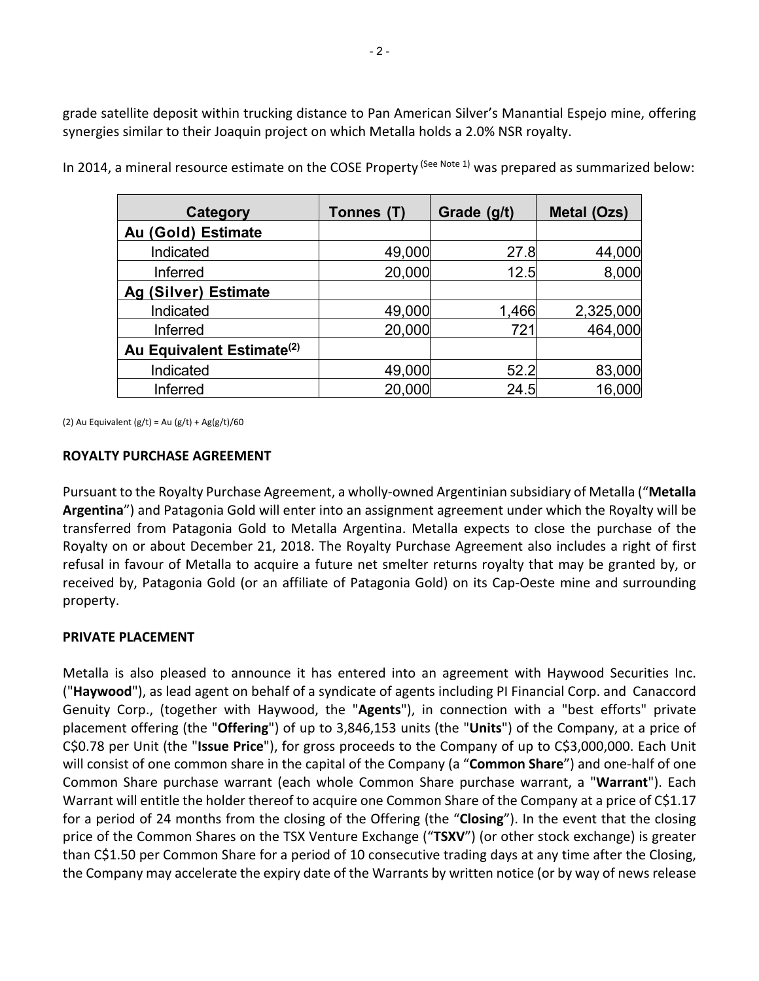grade satellite deposit within trucking distance to Pan American Silver's Manantial Espejo mine, offering synergies similar to their Joaquin project on which Metalla holds a 2.0% NSR royalty.

| Category                              | Tonnes (T) | Grade (g/t) | Metal (Ozs) |
|---------------------------------------|------------|-------------|-------------|
| Au (Gold) Estimate                    |            |             |             |
| Indicated                             | 49,000     | 27.8        | 44,000      |
| Inferred                              | 20,000     | 12.5        | 8,000       |
| Ag (Silver) Estimate                  |            |             |             |
| Indicated                             | 49,000     | 1,466       | 2,325,000   |
| Inferred                              | 20,000     | 721         | 464,000     |
| Au Equivalent Estimate <sup>(2)</sup> |            |             |             |
| Indicated                             | 49,000     | 52.2        | 83,000      |
| Inferred                              | 20,000     | 24.5        | 16,000      |

In 2014, a mineral resource estimate on the COSE Property (See Note 1) was prepared as summarized below:

(2) Au Equivalent  $(g/t) = Au (g/t) + Ag(g/t)/60$ 

#### **ROYALTY PURCHASE AGREEMENT**

Pursuant to the Royalty Purchase Agreement, a wholly-owned Argentinian subsidiary of Metalla ("**Metalla Argentina**") and Patagonia Gold will enter into an assignment agreement under which the Royalty will be transferred from Patagonia Gold to Metalla Argentina. Metalla expects to close the purchase of the Royalty on or about December 21, 2018. The Royalty Purchase Agreement also includes a right of first refusal in favour of Metalla to acquire a future net smelter returns royalty that may be granted by, or received by, Patagonia Gold (or an affiliate of Patagonia Gold) on its Cap-Oeste mine and surrounding property.

#### **PRIVATE PLACEMENT**

Metalla is also pleased to announce it has entered into an agreement with Haywood Securities Inc. ("**Haywood**"), as lead agent on behalf of a syndicate of agents including PI Financial Corp. and Canaccord Genuity Corp., (together with Haywood, the "**Agents**"), in connection with a "best efforts" private placement offering (the "**Offering**") of up to 3,846,153 units (the "**Units**") of the Company, at a price of C\$0.78 per Unit (the "**Issue Price**"), for gross proceeds to the Company of up to C\$3,000,000. Each Unit will consist of one common share in the capital of the Company (a "**Common Share**") and one-half of one Common Share purchase warrant (each whole Common Share purchase warrant, a "**Warrant**"). Each Warrant will entitle the holder thereof to acquire one Common Share of the Company at a price of C\$1.17 for a period of 24 months from the closing of the Offering (the "**Closing**"). In the event that the closing price of the Common Shares on the TSX Venture Exchange ("**TSXV**") (or other stock exchange) is greater than C\$1.50 per Common Share for a period of 10 consecutive trading days at any time after the Closing, the Company may accelerate the expiry date of the Warrants by written notice (or by way of news release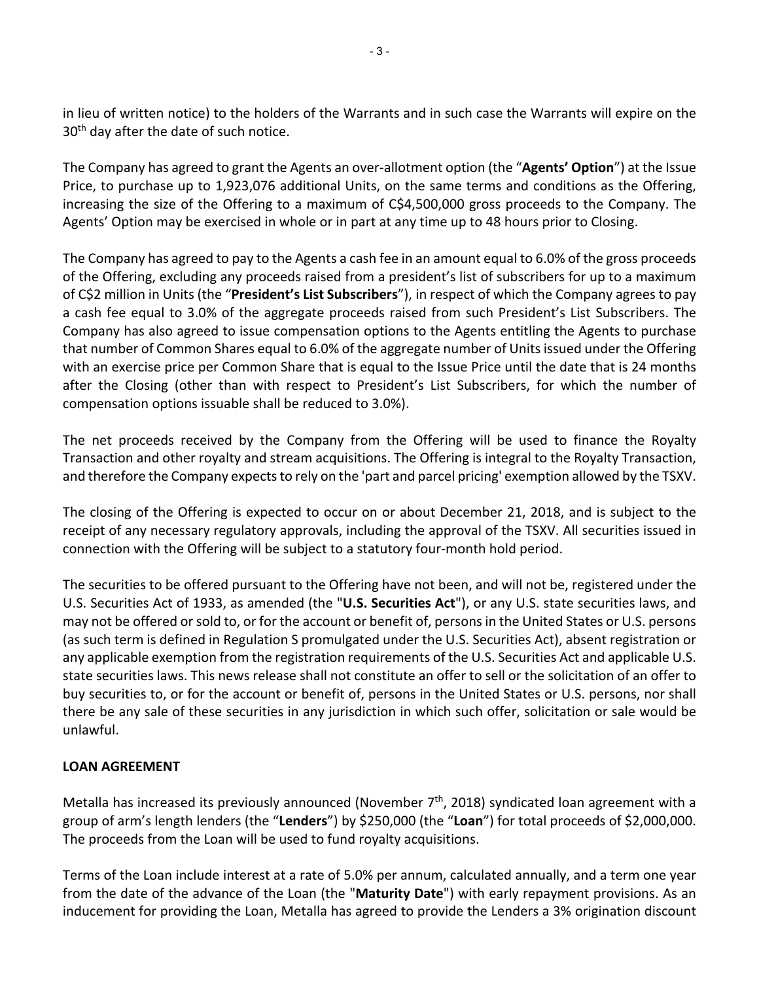in lieu of written notice) to the holders of the Warrants and in such case the Warrants will expire on the 30<sup>th</sup> day after the date of such notice.

The Company has agreed to grant the Agents an over-allotment option (the "**Agents' Option**") at the Issue Price, to purchase up to 1,923,076 additional Units, on the same terms and conditions as the Offering, increasing the size of the Offering to a maximum of C\$4,500,000 gross proceeds to the Company. The Agents' Option may be exercised in whole or in part at any time up to 48 hours prior to Closing.

The Company has agreed to pay to the Agents a cash fee in an amount equal to 6.0% of the gross proceeds of the Offering, excluding any proceeds raised from a president's list of subscribers for up to a maximum of C\$2 million in Units (the "**President's List Subscribers**"), in respect of which the Company agrees to pay a cash fee equal to 3.0% of the aggregate proceeds raised from such President's List Subscribers. The Company has also agreed to issue compensation options to the Agents entitling the Agents to purchase that number of Common Shares equal to 6.0% of the aggregate number of Units issued under the Offering with an exercise price per Common Share that is equal to the Issue Price until the date that is 24 months after the Closing (other than with respect to President's List Subscribers, for which the number of compensation options issuable shall be reduced to 3.0%).

The net proceeds received by the Company from the Offering will be used to finance the Royalty Transaction and other royalty and stream acquisitions. The Offering is integral to the Royalty Transaction, and therefore the Company expects to rely on the 'part and parcel pricing' exemption allowed by the TSXV.

The closing of the Offering is expected to occur on or about December 21, 2018, and is subject to the receipt of any necessary regulatory approvals, including the approval of the TSXV. All securities issued in connection with the Offering will be subject to a statutory four-month hold period.

The securities to be offered pursuant to the Offering have not been, and will not be, registered under the U.S. Securities Act of 1933, as amended (the "**U.S. Securities Act**"), or any U.S. state securities laws, and may not be offered or sold to, or for the account or benefit of, personsin the United States or U.S. persons (as such term is defined in Regulation S promulgated under the U.S. Securities Act), absent registration or any applicable exemption from the registration requirements of the U.S. Securities Act and applicable U.S. state securities laws. This news release shall not constitute an offer to sell or the solicitation of an offer to buy securities to, or for the account or benefit of, persons in the United States or U.S. persons, nor shall there be any sale of these securities in any jurisdiction in which such offer, solicitation or sale would be unlawful.

# **LOAN AGREEMENT**

Metalla has increased its previously announced (November  $7<sup>th</sup>$ , 2018) syndicated loan agreement with a group of arm's length lenders (the "**Lenders**") by \$250,000 (the "**Loan**") for total proceeds of \$2,000,000. The proceeds from the Loan will be used to fund royalty acquisitions.

Terms of the Loan include interest at a rate of 5.0% per annum, calculated annually, and a term one year from the date of the advance of the Loan (the "**Maturity Date**") with early repayment provisions. As an inducement for providing the Loan, Metalla has agreed to provide the Lenders a 3% origination discount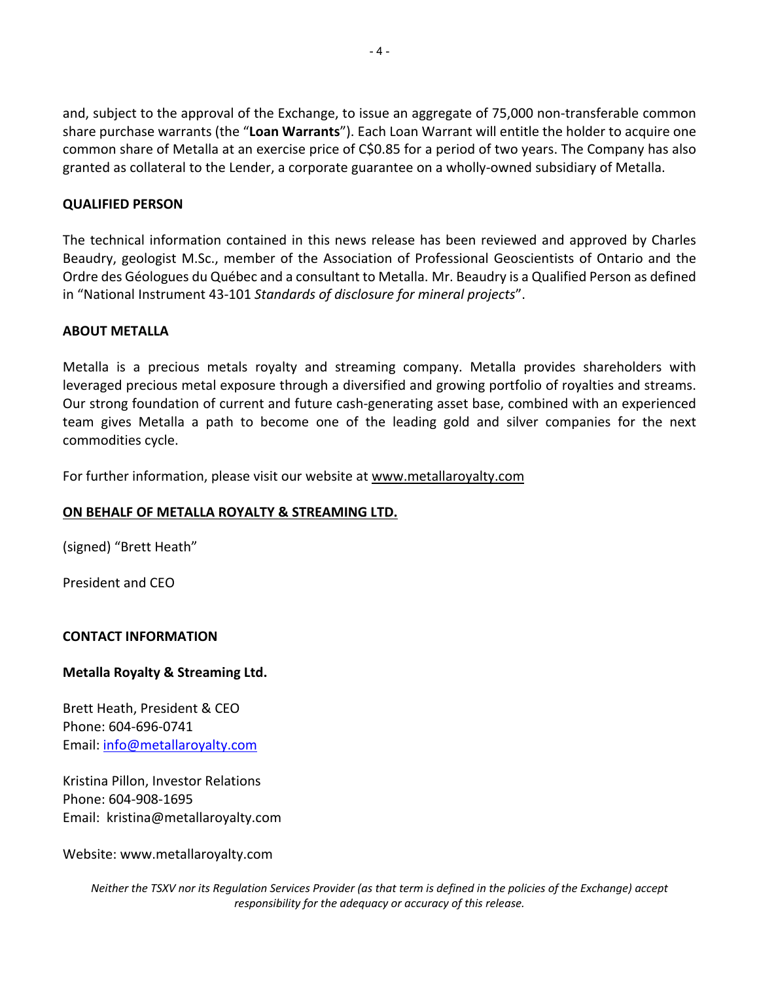and, subject to the approval of the Exchange, to issue an aggregate of 75,000 non-transferable common share purchase warrants (the "**Loan Warrants**"). Each Loan Warrant will entitle the holder to acquire one common share of Metalla at an exercise price of C\$0.85 for a period of two years. The Company has also granted as collateral to the Lender, a corporate guarantee on a wholly-owned subsidiary of Metalla.

# **QUALIFIED PERSON**

The technical information contained in this news release has been reviewed and approved by Charles Beaudry, geologist M.Sc., member of the Association of Professional Geoscientists of Ontario and the Ordre des Géologues du Québec and a consultant to Metalla. Mr. Beaudry is a Qualified Person as defined in "National Instrument 43-101 *Standards of disclosure for mineral projects*".

## **ABOUT METALLA**

Metalla is a precious metals royalty and streaming company. Metalla provides shareholders with leveraged precious metal exposure through a diversified and growing portfolio of royalties and streams. Our strong foundation of current and future cash-generating asset base, combined with an experienced team gives Metalla a path to become one of the leading gold and silver companies for the next commodities cycle.

For further information, please visit our website at www.metallaroyalty.com

# **ON BEHALF OF METALLA ROYALTY & STREAMING LTD.**

(signed) "Brett Heath"

President and CEO

## **CONTACT INFORMATION**

## **Metalla Royalty & Streaming Ltd.**

Brett Heath, President & CEO Phone: 604-696-0741 Email: info@metallaroyalty.com

Kristina Pillon, Investor Relations Phone: 604-908-1695 Email: kristina@metallaroyalty.com

Website: www.metallaroyalty.com

*Neither the TSXV nor its Regulation Services Provider (as that term is defined in the policies of the Exchange) accept responsibility for the adequacy or accuracy of this release.*